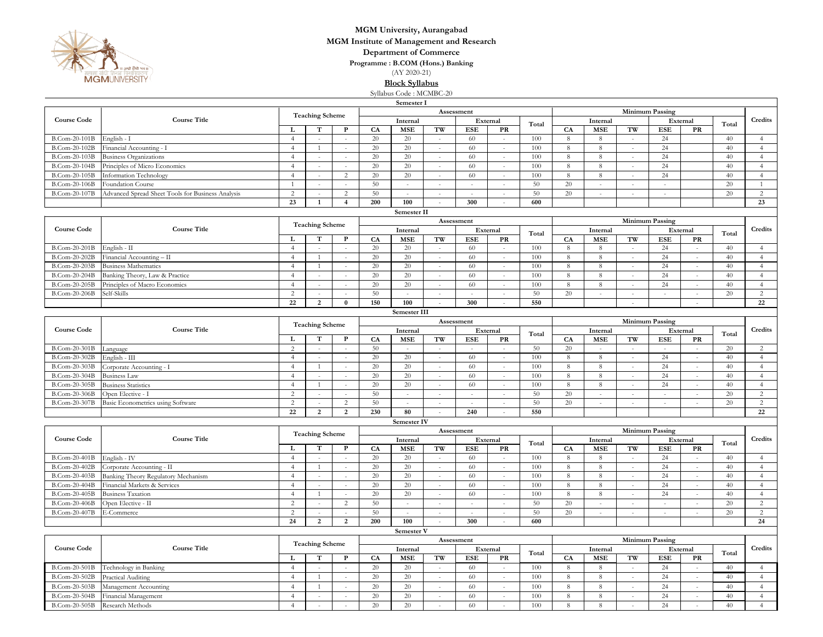

## **MGM University, Aurangabad**

**MGM Institute of Management and Research**

**Department of Commerce**

**Programme : B.COM (Hons.) Banking**

(AY 2020-21)

**Block Syllabus**

Syllabus Code : MCMBC-20

| Semester I |
|------------|
|------------|

| Seinester 1                          |                                                   |                        |                        |                |                                    |                             |                          |                                       |              |       |                        |             |                          |                        |                          |         |                 |  |  |
|--------------------------------------|---------------------------------------------------|------------------------|------------------------|----------------|------------------------------------|-----------------------------|--------------------------|---------------------------------------|--------------|-------|------------------------|-------------|--------------------------|------------------------|--------------------------|---------|-----------------|--|--|
|                                      |                                                   | <b>Teaching Scheme</b> |                        |                | Assessment                         |                             |                          |                                       |              |       | <b>Minimum Passing</b> |             |                          |                        |                          |         |                 |  |  |
| <b>Course Code</b>                   | <b>Course Title</b>                               |                        |                        |                | Internal                           |                             | External                 |                                       | Total        |       | Internal               |             | External                 |                        | Total                    | Credits |                 |  |  |
|                                      |                                                   | L                      | T                      | $\mathbf P$    | CA                                 | <b>MSE</b>                  | TW                       | <b>ESE</b>                            | PR           |       | CA                     | <b>MSE</b>  | TW                       | <b>ESE</b>             | PR                       |         |                 |  |  |
| B.Com-20-101B                        | English - I                                       | $\overline{4}$         | $\mathcal{L}$          |                | 20                                 | 20                          | $\sim$                   | 60                                    | $\mathbf{r}$ | 100   | 8                      | 8           | $\overline{a}$           | 24                     |                          | 40      | $\overline{4}$  |  |  |
| B.Com-20-102B                        | Financial Accounting - I                          | $\overline{4}$         | 1                      | $\sim$         | 20                                 | 20                          | $\sim$                   | 60                                    | $\sim$       | 100   | 8                      | $\,8\,$     | $\sim$                   | 24                     |                          | 40      | $\overline{4}$  |  |  |
| B.Com-20-103B                        | <b>Business Organizations</b>                     | $\overline{4}$         | $\sim$                 | $\sim$         | 20                                 | 20                          | $\sim$                   | 60                                    | $\sim$       | 100   | 8                      | 8           | $\sim$                   | 24                     |                          | 40      | $\overline{4}$  |  |  |
| B.Com-20-104B                        | Principles of Micro Economics                     | $\overline{4}$         | $\sim$                 |                | 20                                 | 20                          | ÷.                       | 60                                    | $\sim$       | 100   | $8\phantom{1}$         | $\,$ 8 $\,$ | ×                        | 24                     |                          | 40      | $\overline{4}$  |  |  |
| B.Com-20-105B                        | Information Technology                            | $\overline{4}$         | $\sim$                 | $\overline{2}$ | 20                                 | 20                          | $\sim$                   | 60                                    | $\sim$       | 100   | 8                      | 8           | $\sim$                   | 24                     |                          | 40      | $\overline{4}$  |  |  |
| B.Com-20-106B                        | Foundation Course                                 | -1                     | $\sim$                 |                | 50                                 | $\sim$                      | $\sim$                   | $\sim$                                | $\sim$       | 50    | 20                     | $\sim$      | $\sim$                   | $\sim$                 |                          | 20      | -1              |  |  |
| B.Com-20-107B                        | Advanced Spread Sheet Tools for Business Analysis | $\overline{c}$         | $\sim$                 | $\overline{c}$ | 50                                 | $\sim$                      | $\sim$                   |                                       | $\sim$       | 50    | 20                     | ÷,          | $\sim$                   | $\sim$                 |                          | 20      | $\overline{2}$  |  |  |
|                                      |                                                   | 23                     | 1                      | $\overline{4}$ | 200                                | 100                         | $\sim$                   | 300                                   | $\sim$       | 600   |                        |             |                          |                        |                          |         | 23              |  |  |
|                                      |                                                   |                        |                        |                |                                    | Semester II                 |                          |                                       |              |       |                        |             |                          |                        |                          |         |                 |  |  |
| Assessment<br><b>Minimum Passing</b> |                                                   |                        |                        |                |                                    |                             |                          |                                       |              |       |                        |             |                          |                        |                          |         |                 |  |  |
| <b>Course Code</b>                   | <b>Course Title</b>                               | <b>Teaching Scheme</b> |                        |                | Internal                           |                             |                          |                                       |              |       |                        |             |                          |                        |                          |         |                 |  |  |
|                                      |                                                   |                        | т                      | P              |                                    |                             | <b>MSE</b>               |                                       | External     |       |                        | Internal    |                          | External               |                          | Credits |                 |  |  |
|                                      |                                                   | L                      |                        |                | CA                                 |                             | TW                       | <b>ESE</b>                            | PR           |       | <b>CA</b>              | <b>MSE</b>  | TW                       | ESE                    | PR                       |         |                 |  |  |
| B.Com-20-201B                        | English - II                                      | $\overline{4}$         | $\sim$                 | $\sim$         | 20                                 | 20                          | $\sim$                   | 60                                    | $\sim$       | 100   | 8                      | 8           | $\sim$                   | 24                     | $\sim$                   | 40      | $\overline{4}$  |  |  |
| B.Com-20-202B                        | Financial Accounting - II                         | $\overline{4}$         | 1                      | $\sim$         | 20                                 | 20                          | $\sim$                   | 60                                    | $\sim$       | 100   | 8                      | 8           | $\sim$                   | 24                     | $\sim$                   | 40      | $\overline{4}$  |  |  |
| B.Com-20-203B                        | <b>Business Mathematics</b>                       | $\overline{4}$         | 1                      | $\sim$         | 20                                 | 20                          | $\sim$                   | 60                                    | $\sim$       | 100   | 8                      | 8           | $\sim$                   | 24                     | $\sim$                   | 40      | $\overline{4}$  |  |  |
| B.Com-20-204B                        | Banking Theory, Law & Practice                    | $\overline{4}$         | $\sim$                 | $\sim$         | 20                                 | 20                          | $\sim$                   | 60                                    | $\sim$       | 100   | 8                      | 8           | $\sim$                   | 24                     | $\sim$                   | 40      | $\overline{4}$  |  |  |
| B.Com-20-205B                        | Principles of Macro Economics                     | $\overline{4}$         | $\sim$                 |                | 20                                 | 20                          | $\sim$                   | 60                                    | $\sim$       | 100   | $8\phantom{1}$         | $\,8\,$     | $\sim$                   | 24                     | $\sim$                   | 40      | $\overline{4}$  |  |  |
| B.Com-20-206B                        | Self-Skills                                       | 2                      | $\sim$                 |                | 50                                 | $\mathcal{L}$               | $\sim$                   | $\sim$                                | $\sim$       | 50    | 20                     | $\sim$      | $\sim$                   | $\sim$                 | $\sim$                   | 20      | 2               |  |  |
|                                      |                                                   | 22                     | $\overline{2}$         | $\bf{0}$       | 150                                | 100                         | $\sim$                   | 300                                   | $\sim$       | 550   |                        |             | $\sim$                   |                        | $\sim$                   |         | $\overline{22}$ |  |  |
|                                      |                                                   |                        |                        |                |                                    | Semester III                |                          |                                       |              |       |                        |             |                          |                        |                          |         |                 |  |  |
|                                      | <b>Course Title</b>                               |                        |                        |                |                                    |                             |                          | Assessment                            |              |       |                        |             |                          | <b>Minimum Passing</b> |                          |         | Credits         |  |  |
| <b>Course Code</b>                   |                                                   | <b>Teaching Scheme</b> |                        |                |                                    | Internal                    |                          |                                       | External     |       |                        | Internal    |                          |                        | External                 |         |                 |  |  |
|                                      |                                                   | L                      | т                      | P              | CA                                 | <b>MSE</b>                  | TW                       | $_{\rm{ESE}}$                         | PR           | Total | CA                     | <b>MSE</b>  | TW                       | <b>ESE</b>             | PR                       | Total   |                 |  |  |
| B.Com-20-301B                        | Language                                          | $\overline{2}$         | $\sim$                 | $\sim$         | 50                                 | $\sim$                      | $\sim$                   |                                       | $\sim$       | 50    | 20                     | $\sim$      | $\sim$                   | $\sim$                 | $\sim$                   | 20      | 2               |  |  |
| B.Com-20-302B                        | English - III                                     | $\overline{4}$         | $\sim$                 |                | 20                                 | 20                          | $\sim$                   | 60                                    | $\sim$       | 100   | 8                      | 8           | $\sim$                   | 24                     | $\sim$                   | 40      | $\overline{4}$  |  |  |
| B.Com-20-303B                        | Corporate Accounting - I                          | $\overline{4}$         | 1                      |                | $20\,$                             | 20                          | $\sim$                   | 60                                    | $\sim$       | 100   | 8                      | $\,8\,$     | $\sim$                   | 24                     | $\sim$                   | 40      | $\overline{4}$  |  |  |
| B.Com-20-304B                        | <b>Business Law</b>                               | $\overline{4}$         | $\sim$                 | $\mathbf{r}$   | 20                                 | 20                          | $\sim$                   | 60                                    | $\sim$       | 100   | 8                      | $\,8\,$     | $\sim$                   | 24                     | $\sim$                   | 40      | $\overline{4}$  |  |  |
| B.Com-20-305B                        |                                                   | $\overline{4}$         | 1                      |                | 20                                 | 20                          | $\sim$                   | 60                                    | $\sim$       | 100   | 8                      | $\,8\,$     | $\sim$                   | 24                     | $\sim$                   | 40      | $\overline{4}$  |  |  |
|                                      | <b>Business Statistics</b>                        |                        |                        |                | 50                                 |                             |                          |                                       |              | 50    | 20                     |             |                          |                        |                          |         | 2               |  |  |
| B.Com-20-306B                        | Open Elective - I                                 | 2                      | $\sim$                 |                |                                    | $\sim$                      | $\sim$                   |                                       |              |       |                        | $\sim$      | $\sim$                   | $\sim$                 | $\sim$                   | 20      |                 |  |  |
| B.Com-20-307B                        | Basic Econometrics using Software                 | 2                      | $\sim$                 | $\overline{c}$ | 50                                 | $\sim$                      |                          |                                       |              | 50    | 20                     |             | $\sim$                   | $\sim$                 | ÷.                       | 20      | $\overline{2}$  |  |  |
|                                      |                                                   | 22                     | 2                      | $\overline{2}$ | 230                                | 80                          | $\sim$                   | 240                                   | $\sim$       | 550   |                        |             |                          |                        |                          |         | 22              |  |  |
|                                      |                                                   |                        |                        |                |                                    | Semester IV                 |                          |                                       |              |       |                        |             |                          |                        |                          |         |                 |  |  |
|                                      | <b>Course Title</b>                               |                        | <b>Teaching Scheme</b> |                |                                    |                             |                          | Assessment                            |              |       | <b>Minimum Passing</b> |             |                          |                        |                          |         |                 |  |  |
| <b>Course Code</b>                   |                                                   |                        |                        |                |                                    | Internal                    |                          |                                       | External     | Total |                        | Internal    |                          |                        | External                 | Total   | Credits         |  |  |
|                                      |                                                   | L                      | T                      | P              | CA                                 | <b>MSE</b>                  | $\mathbf{TW}$            | <b>ESE</b>                            | PR           |       | CA                     | <b>MSE</b>  | $\mathbf{TW}$            | <b>ESE</b>             | PR                       |         |                 |  |  |
| B.Com-20-401B                        | English - IV                                      | $\overline{4}$         | $\sim$                 |                | 20                                 | 20                          |                          | 60                                    | $\sim$       | 100   | 8                      | 8           | $\overline{\phantom{a}}$ | 24                     | $\overline{\phantom{a}}$ | 40      | $\overline{4}$  |  |  |
| B.Com-20-402B                        | Corporate Accounting - II                         | $\overline{4}$         | 1                      | $\sim$         | 20                                 | 20                          | $\sim$                   | 60                                    | $\sim$       | 100   | -8                     | 8           | $\sim$                   | 24                     | $\sim$                   | 40      | 4               |  |  |
| B.Com-20-403B                        | Banking Theory Regulatory Mechanism               | $\overline{4}$         | $\sim$                 |                | 20                                 | 20                          | $\overline{\phantom{a}}$ | 60                                    |              | 100   | 8                      | 8           | $\sim$                   | 24                     | $\sim$                   | 40      | $\overline{4}$  |  |  |
| B.Com-20-404B                        | Financial Markets & Services                      | $\overline{4}$         | $\sim$                 |                | $20\,$                             | 20                          | $\sim$                   | 60                                    | ×.           | 100   | 8                      | $\,8\,$     | $\overline{\phantom{a}}$ | 24                     | ×                        | 40      | $\overline{4}$  |  |  |
| B.Com-20-405B                        | <b>Business Taxation</b>                          | $\overline{4}$         | 1                      |                | 20                                 | 20                          | $\sim$                   | 60                                    | $\sim$       | 100   | 8                      | $\,8\,$     | $\sim$                   | 24                     | $\sim$                   | 40      | $\overline{4}$  |  |  |
| B.Com-20-406B                        | Open Elective - II                                | 2                      | $\sim$                 | 2              | 50                                 | $\mathcal{L}_{\mathcal{A}}$ | $\sim$                   | $\sim$                                | ÷,           | 50    | 20                     | ÷.          | $\sim$                   | $\sim$                 | $\sim$                   | 20      | 2               |  |  |
| B.Com-20-407B                        | E-Commerce                                        | 2                      | $\sim$                 |                | 50                                 | $\sim$                      | $\sim$                   |                                       | $\sim$       | 50    | 20                     | $\sim$      | $\sim$                   | $\sim$                 | $\sim$                   | 20      | $\overline{2}$  |  |  |
|                                      |                                                   | 24                     | 2                      | 2              | 200                                | 100                         | $\sim$                   | 300                                   | $\sim$       | 600   |                        |             |                          |                        |                          |         | 24              |  |  |
|                                      |                                                   |                        |                        |                |                                    | Semester V                  |                          |                                       |              |       |                        |             |                          |                        |                          |         |                 |  |  |
|                                      |                                                   |                        |                        |                |                                    |                             |                          |                                       |              |       |                        |             |                          |                        |                          |         |                 |  |  |
| <b>Course Code</b>                   | <b>Course Title</b>                               | <b>Teaching Scheme</b> |                        |                | Assessment                         |                             |                          |                                       |              |       | <b>Minimum Passing</b> |             |                          |                        |                          |         |                 |  |  |
|                                      |                                                   | T<br>L                 |                        | P              | Internal<br>CA<br><b>MSE</b><br>TW |                             |                          | External<br>Total<br><b>ESE</b><br>PR |              |       | Internal<br>CA         |             |                          | <b>ESE</b>             | External                 |         | Credits         |  |  |
|                                      |                                                   |                        |                        |                |                                    |                             |                          |                                       |              |       |                        | <b>MSE</b>  | TW                       |                        | PR                       |         |                 |  |  |
| B.Com-20-501B                        | Technology in Banking                             | $\overline{4}$         | $\sim$                 | $\sim$         | 20                                 | 20                          | $\sim$                   | 60                                    | $\sim$       | 100   | 8                      | 8           | $\sim$                   | 24                     | $\sim$                   | 40      | 4               |  |  |
| B.Com-20-502B                        | Practical Auditing                                | $\overline{4}$         | 1                      | $\sim$         | 20                                 | 20                          | $\sim$                   | 60                                    | $\sim$       | 100   | 8                      | 8           | $\sim$                   | 24                     | $\sim$                   | 40      | $\overline{4}$  |  |  |
| B.Com-20-503B                        | Management Accounting                             | $\overline{4}$         | $\mathbf{1}$           |                | 20                                 | 20                          |                          | 60                                    |              | 100   | 8                      | $\,8\,$     | $\sim$                   | 24                     | $\sim$                   | 40      | $\overline{4}$  |  |  |
| B.Com-20-504B                        | Financial Management                              | $\overline{4}$         | $\sim$                 | $\overline{a}$ | 20                                 | 20                          | $\sim$                   | 60                                    | $\sim$       | 100   | 8                      | 8           | $\sim$                   | 24                     | $\sim$                   | 40      | $\overline{4}$  |  |  |
|                                      | B.Com-20-505B Research Methods                    | $\overline{4}$         | $\sim$                 | $\sim$         | 20                                 | 20                          | $\sim$                   | 60                                    | $\sim$       | 100   | 8                      | $\,8\,$     | $\sim$                   | 24                     | $\sim$                   | 40      | $\overline{4}$  |  |  |